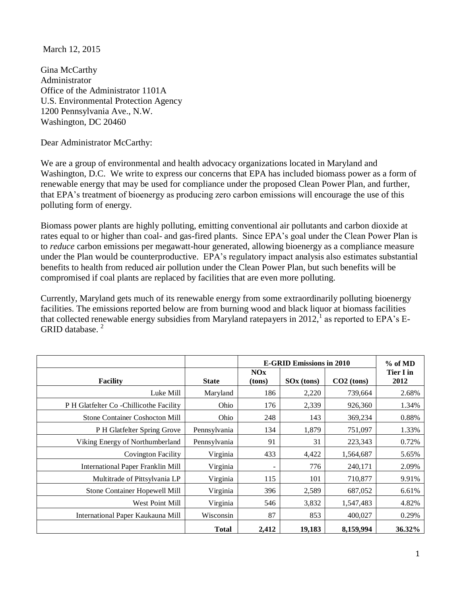March 12, 2015

Gina McCarthy Administrator Office of the Administrator 1101A U.S. Environmental Protection Agency 1200 Pennsylvania Ave., N.W. Washington, DC 20460

Dear Administrator McCarthy:

We are a group of environmental and health advocacy organizations located in Maryland and Washington, D.C. We write to express our concerns that EPA has included biomass power as a form of renewable energy that may be used for compliance under the proposed Clean Power Plan, and further, that EPA's treatment of bioenergy as producing zero carbon emissions will encourage the use of this polluting form of energy.

Biomass power plants are highly polluting, emitting conventional air pollutants and carbon dioxide at rates equal to or higher than coal- and gas-fired plants. Since EPA's goal under the Clean Power Plan is to *reduce* carbon emissions per megawatt-hour generated, allowing bioenergy as a compliance measure under the Plan would be counterproductive. EPA's regulatory impact analysis also estimates substantial benefits to health from reduced air pollution under the Clean Power Plan, but such benefits will be compromised if coal plants are replaced by facilities that are even more polluting.

Currently, Maryland gets much of its renewable energy from some extraordinarily polluting bioenergy facilities. The emissions reported below are from burning wood and black liquor at biomass facilities that collected renewable energy subsidies from Maryland ratepayers in 2012, as reported to EPA's E-GRID database.<sup>2</sup>

|                                          |              | <b>E-GRID Emissions in 2010</b> |                        |              | % of MD           |
|------------------------------------------|--------------|---------------------------------|------------------------|--------------|-------------------|
| <b>Facility</b>                          | <b>State</b> | NOx<br>(tons)                   | SO <sub>x</sub> (tons) | $CO2$ (tons) | Tier I in<br>2012 |
| Luke Mill                                | Maryland     | 186                             | 2,220                  | 739,664      | 2.68%             |
| P H Glatfelter Co - Chillicothe Facility | Ohio         | 176                             | 2,339                  | 926,360      | 1.34%             |
| <b>Stone Container Coshocton Mill</b>    | Ohio         | 248                             | 143                    | 369,234      | 0.88%             |
| P H Glatfelter Spring Grove              | Pennsylvania | 134                             | 1,879                  | 751,097      | 1.33%             |
| Viking Energy of Northumberland          | Pennsylvania | 91                              | 31                     | 223,343      | 0.72%             |
| <b>Covington Facility</b>                | Virginia     | 433                             | 4,422                  | 1,564,687    | 5.65%             |
| International Paper Franklin Mill        | Virginia     |                                 | 776                    | 240,171      | 2.09%             |
| Multitrade of Pittsylvania LP            | Virginia     | 115                             | 101                    | 710,877      | 9.91%             |
| Stone Container Hopewell Mill            | Virginia     | 396                             | 2,589                  | 687,052      | 6.61%             |
| West Point Mill                          | Virginia     | 546                             | 3,832                  | 1,547,483    | 4.82%             |
| International Paper Kaukauna Mill        | Wisconsin    | 87                              | 853                    | 400,027      | 0.29%             |
|                                          | <b>Total</b> | 2,412                           | 19,183                 | 8,159,994    | 36.32%            |